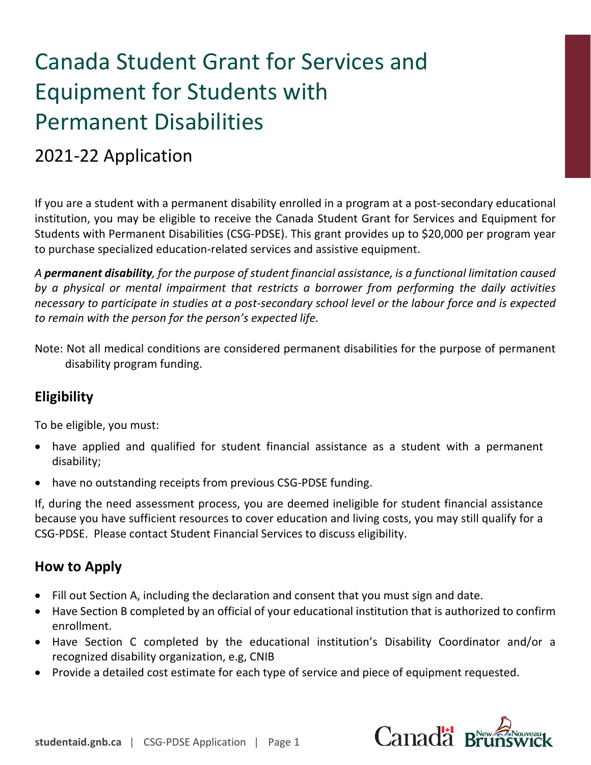# Canada Student Grant for Services and Equipment for Students with Permanent Disabilities

## 2021-22 Application

If you are a student with a permanent disability enrolled in a program at a post-secondary educational institution, you may be eligible to receive the Canada Student Grant for Services and Equipment for Students with Permanent Disabilities (CSG-PDSE). This grant provides up to \$20,000 per program year to purchase specialized education-related services and assistive equipment.

*A permanent disability, for the purpose of student financial assistance, is a functional limitation caused by a physical or mental impairment that restricts a borrower from performing the daily activities necessary to participate in studies at a post-secondary school level or the labour force and is expected to remain with the person for the person's expected life.*

Note: Not all medical conditions are considered permanent disabilities for the purpose of permanent disability program funding.

## **Eligibility**

To be eligible, you must:

- have applied and qualified for student financial assistance as a student with a permanent disability;
- have no outstanding receipts from previous CSG-PDSE funding.

If, during the need assessment process, you are deemed ineligible for student financial assistance because you have sufficient resources to cover education and living costs, you may still qualify for a CSG-PDSE. Please contact Student Financial Services to discuss eligibility.

## **How to Apply**

- Fill out Section A, including the declaration and consent that you must sign and date.
- Have Section B completed by an official of your educational institution that is authorized to confirm enrollment.
- Have Section C completed by the educational institution's Disability Coordinator and/or a recognized disability organization, e.g, CNIB
- Provide a detailed cost estimate for each type of service and piece of equipment requested.

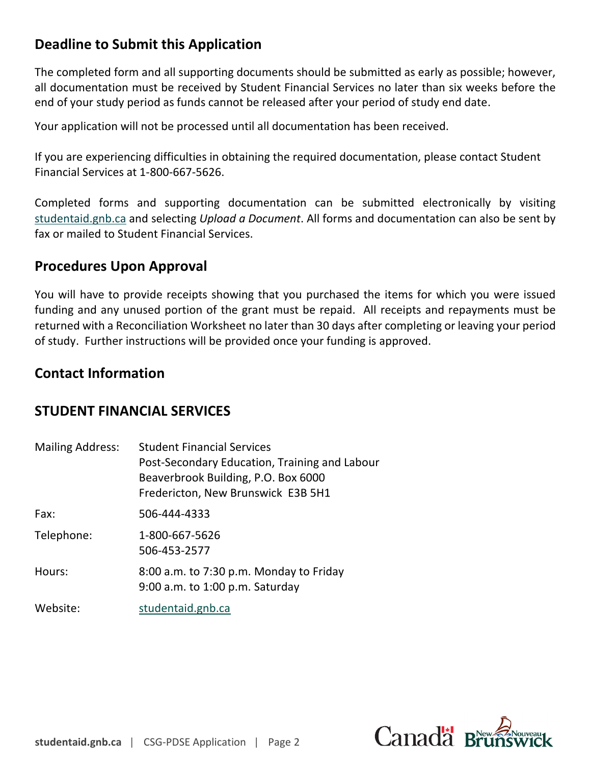## **Deadline to Submit this Application**

The completed form and all supporting documents should be submitted as early as possible; however, all documentation must be received by Student Financial Services no later than six weeks before the end of your study period as funds cannot be released after your period of study end date.

Your application will not be processed until all documentation has been received.

If you are experiencing difficulties in obtaining the required documentation, please contact Student Financial Services at 1-800-667-5626.

Completed forms and supporting documentation can be submitted electronically by visiting [studentaid.gnb.ca](https://www2.gnb.ca/content/gnb/en/departments/post-secondary_education_training_and_labour/Skills/content/FinancialSupport/StudentFinancialServices.html) and selecting *Upload a Document*. All forms and documentation can also be sent by fax or mailed to Student Financial Services.

## **Procedures Upon Approval**

You will have to provide receipts showing that you purchased the items for which you were issued funding and any unused portion of the grant must be repaid. All receipts and repayments must be returned with a Reconciliation Worksheet no later than 30 days after completing or leaving your period of study. Further instructions will be provided once your funding is approved.

### **Contact Information**

### **STUDENT FINANCIAL SERVICES**

| <b>Mailing Address:</b> | <b>Student Financial Services</b><br>Post-Secondary Education, Training and Labour<br>Beaverbrook Building, P.O. Box 6000<br>Fredericton, New Brunswick E3B 5H1 |
|-------------------------|-----------------------------------------------------------------------------------------------------------------------------------------------------------------|
| Fax:                    | 506-444-4333                                                                                                                                                    |
| Telephone:              | 1-800-667-5626<br>506-453-2577                                                                                                                                  |
| Hours:                  | 8:00 a.m. to 7:30 p.m. Monday to Friday<br>9:00 a.m. to 1:00 p.m. Saturday                                                                                      |
| Website:                | studentaid.gnb.ca                                                                                                                                               |

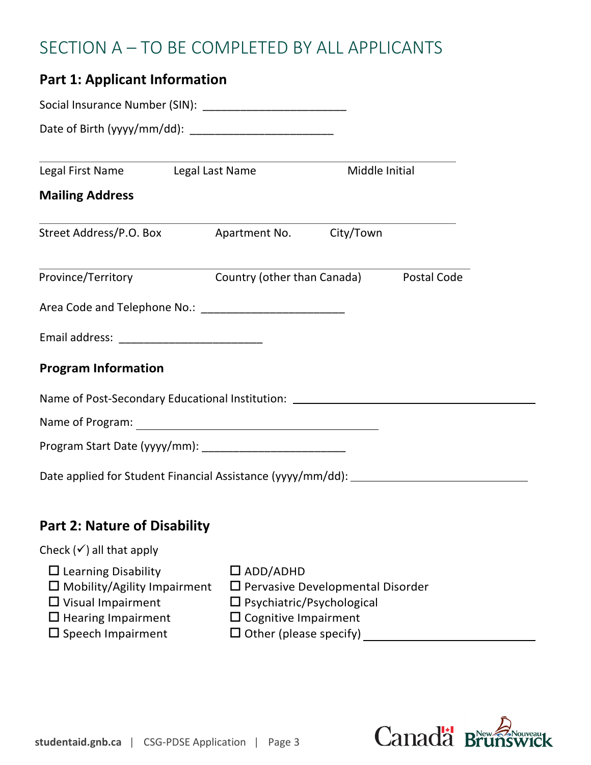## SECTION A – TO BE COMPLETED BY ALL APPLICANTS

| <b>Part 1: Applicant Information</b>                                                                                                                     |                                                                                                                                                               |                |
|----------------------------------------------------------------------------------------------------------------------------------------------------------|---------------------------------------------------------------------------------------------------------------------------------------------------------------|----------------|
|                                                                                                                                                          |                                                                                                                                                               |                |
|                                                                                                                                                          |                                                                                                                                                               |                |
| Legal First Name Legal Last Name                                                                                                                         |                                                                                                                                                               | Middle Initial |
| <b>Mailing Address</b>                                                                                                                                   |                                                                                                                                                               |                |
|                                                                                                                                                          |                                                                                                                                                               |                |
| Province/Territory <b>Country (other than Canada)</b> Postal Code                                                                                        |                                                                                                                                                               |                |
|                                                                                                                                                          |                                                                                                                                                               |                |
|                                                                                                                                                          |                                                                                                                                                               |                |
| <b>Program Information</b>                                                                                                                               |                                                                                                                                                               |                |
| Name of Post-Secondary Educational Institution: ________________________________                                                                         |                                                                                                                                                               |                |
|                                                                                                                                                          |                                                                                                                                                               |                |
|                                                                                                                                                          |                                                                                                                                                               |                |
|                                                                                                                                                          |                                                                                                                                                               |                |
|                                                                                                                                                          |                                                                                                                                                               |                |
| <b>Part 2: Nature of Disability</b>                                                                                                                      |                                                                                                                                                               |                |
| Check $(\checkmark)$ all that apply                                                                                                                      |                                                                                                                                                               |                |
| $\Box$ Learning Disability<br>$\Box$ Mobility/Agility Impairment<br>$\Box$ Visual Impairment<br>$\Box$ Hearing Impairment<br>$\square$ Speech Impairment | $\square$ ADD/ADHD<br>$\square$ Pervasive Developmental Disorder<br>Psychiatric/Psychological<br>$\Box$ Cognitive Impairment<br>$\Box$ Other (please specify) |                |

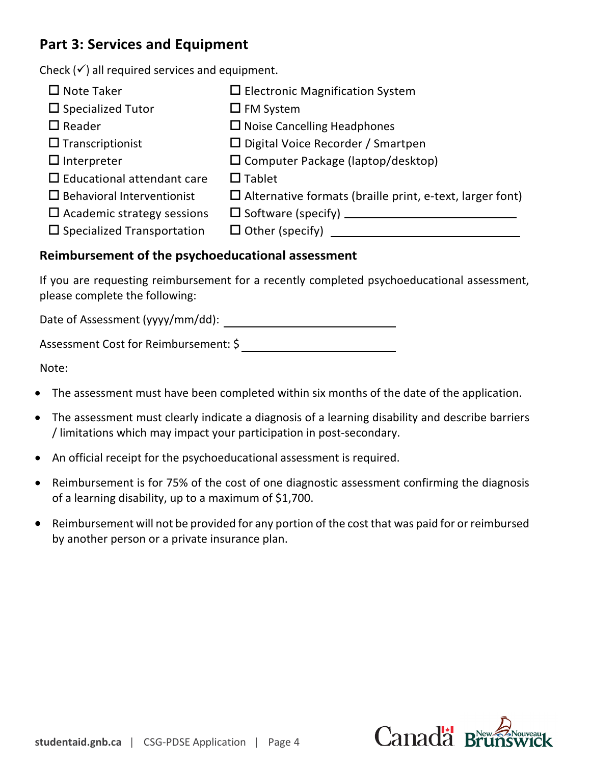## **Part 3: Services and Equipment**

Check  $(v')$  all required services and equipment.

| $\Box$ Note Taker                    | $\Box$ Electronic Magnification System                          |
|--------------------------------------|-----------------------------------------------------------------|
| $\Box$ Specialized Tutor             | $\Box$ FM System                                                |
| $\Box$ Reader                        | $\Box$ Noise Cancelling Headphones                              |
| $\Box$ Transcriptionist              | $\Box$ Digital Voice Recorder / Smartpen                        |
| $\Box$ Interpreter                   | $\square$ Computer Package (laptop/desktop)                     |
| $\Box$ Educational attendant care    | $\Box$ Tablet                                                   |
| $\Box$ Behavioral Interventionist    | $\Box$ Alternative formats (braille print, e-text, larger font) |
| $\Box$ Academic strategy sessions    | □ Software (specify) <u>_____________________</u>               |
| $\square$ Specialized Transportation |                                                                 |
|                                      |                                                                 |

#### **Reimbursement of the psychoeducational assessment**

If you are requesting reimbursement for a recently completed psychoeducational assessment, please complete the following:

Date of Assessment (yyyy/mm/dd):

Assessment Cost for Reimbursement: \$

Note:

- The assessment must have been completed within six months of the date of the application.
- The assessment must clearly indicate a diagnosis of a learning disability and describe barriers / limitations which may impact your participation in post-secondary.
- An official receipt for the psychoeducational assessment is required.
- Reimbursement is for 75% of the cost of one diagnostic assessment confirming the diagnosis of a learning disability, up to a maximum of \$1,700.
- Reimbursement will not be provided for any portion of the cost that was paid for or reimbursed by another person or a private insurance plan.

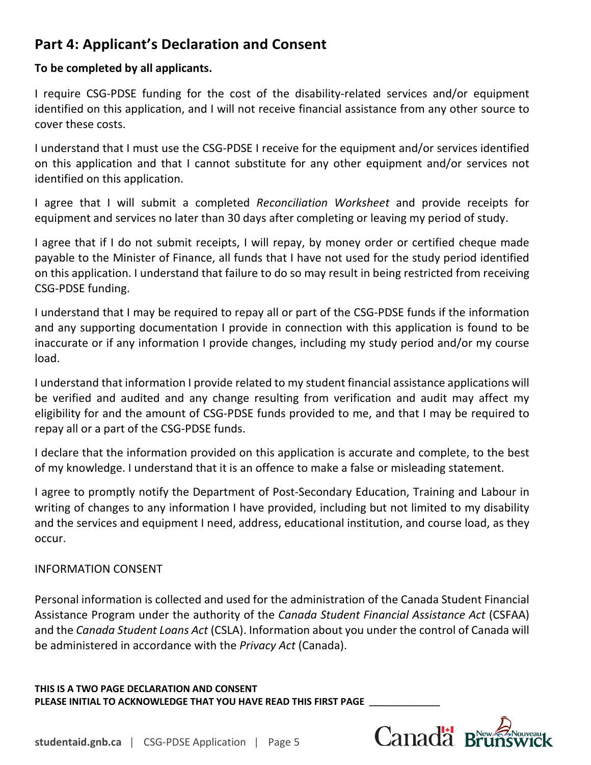## **Part 4: Applicant's Declaration and Consent**

#### **To be completed by all applicants.**

I require CSG-PDSE funding for the cost of the disability-related services and/or equipment identified on this application, and I will not receive financial assistance from any other source to cover these costs.

I understand that I must use the CSG-PDSE I receive for the equipment and/or services identified on this application and that I cannot substitute for any other equipment and/or services not identified on this application.

I agree that I will submit a completed *Reconciliation Worksheet* and provide receipts for equipment and services no later than 30 days after completing or leaving my period of study.

I agree that if I do not submit receipts, I will repay, by money order or certified cheque made payable to the Minister of Finance, all funds that I have not used for the study period identified on this application. I understand that failure to do so may result in being restricted from receiving CSG-PDSE funding.

I understand that I may be required to repay all or part of the CSG-PDSE funds if the information and any supporting documentation I provide in connection with this application is found to be inaccurate or if any information I provide changes, including my study period and/or my course load.

I understand that information I provide related to my student financial assistance applications will be verified and audited and any change resulting from verification and audit may affect my eligibility for and the amount of CSG-PDSE funds provided to me, and that I may be required to repay all or a part of the CSG-PDSE funds.

I declare that the information provided on this application is accurate and complete, to the best of my knowledge. I understand that it is an offence to make a false or misleading statement.

I agree to promptly notify the Department of Post-Secondary Education, Training and Labour in writing of changes to any information I have provided, including but not limited to my disability and the services and equipment I need, address, educational institution, and course load, as they occur.

#### INFORMATION CONSENT

Personal information is collected and used for the administration of the Canada Student Financial Assistance Program under the authority of the *Canada Student Financial Assistance Act* (CSFAA) and the *Canada Student Loans Act* (CSLA). Information about you under the control of Canada will be administered in accordance with the *Privacy Act* (Canada).

**THIS IS A TWO PAGE DECLARATION AND CONSENT**  PLEASE INITIAL TO ACKNOWLEDGE THAT YOU HAVE READ THIS FIRST PAGE

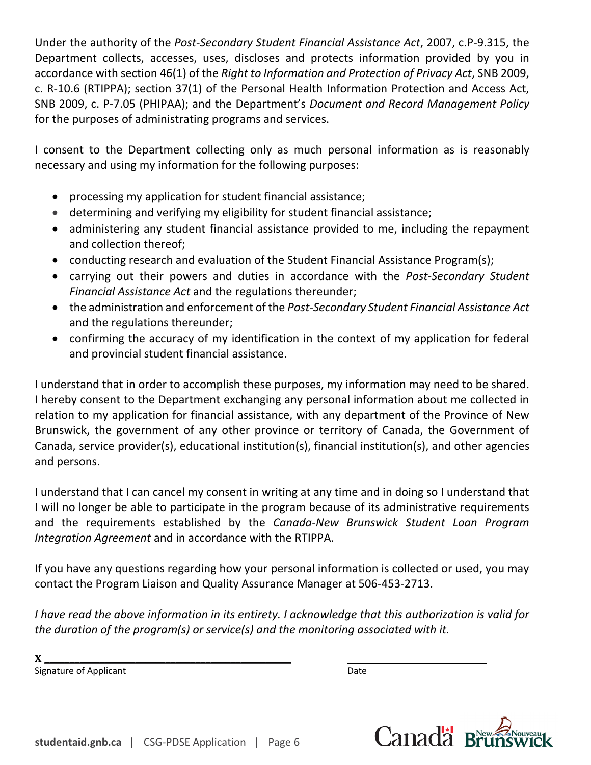Under the authority of the *Post-Secondary Student Financial Assistance Act*, 2007, c.P-9.315, the Department collects, accesses, uses, discloses and protects information provided by you in accordance with section 46(1) of the *Right to Information and Protection of Privacy Act*, SNB 2009, c. R-10.6 (RTIPPA); section 37(1) of the Personal Health Information Protection and Access Act, SNB 2009, c. P-7.05 (PHIPAA); and the Department's *Document and Record Management Policy* for the purposes of administrating programs and services.

I consent to the Department collecting only as much personal information as is reasonably necessary and using my information for the following purposes:

- processing my application for student financial assistance;
- determining and verifying my eligibility for student financial assistance;
- administering any student financial assistance provided to me, including the repayment and collection thereof;
- conducting research and evaluation of the Student Financial Assistance Program(s);
- carrying out their powers and duties in accordance with the *Post-Secondary Student Financial Assistance Act* and the regulations thereunder;
- the administration and enforcement of the *Post-Secondary Student Financial Assistance Act* and the regulations thereunder;
- confirming the accuracy of my identification in the context of my application for federal and provincial student financial assistance.

I understand that in order to accomplish these purposes, my information may need to be shared. I hereby consent to the Department exchanging any personal information about me collected in relation to my application for financial assistance, with any department of the Province of New Brunswick, the government of any other province or territory of Canada, the Government of Canada, service provider(s), educational institution(s), financial institution(s), and other agencies and persons.

I understand that I can cancel my consent in writing at any time and in doing so I understand that I will no longer be able to participate in the program because of its administrative requirements and the requirements established by the *Canada-New Brunswick Student Loan Program Integration Agreement* and in accordance with the RTIPPA.

If you have any questions regarding how your personal information is collected or used, you may contact the Program Liaison and Quality Assurance Manager at 506-453-2713.

*I have read the above information in its entirety. I acknowledge that this authorization is valid for the duration of the program(s) or service(s) and the monitoring associated with it.*

**X \_\_\_\_\_\_\_\_\_\_\_\_\_\_\_\_\_\_\_\_\_\_\_\_\_\_\_\_\_\_\_\_\_\_\_\_\_\_\_\_\_\_\_\_\_\_\_\_\_** 

Signature of Applicant Date Controller and Date Date Date

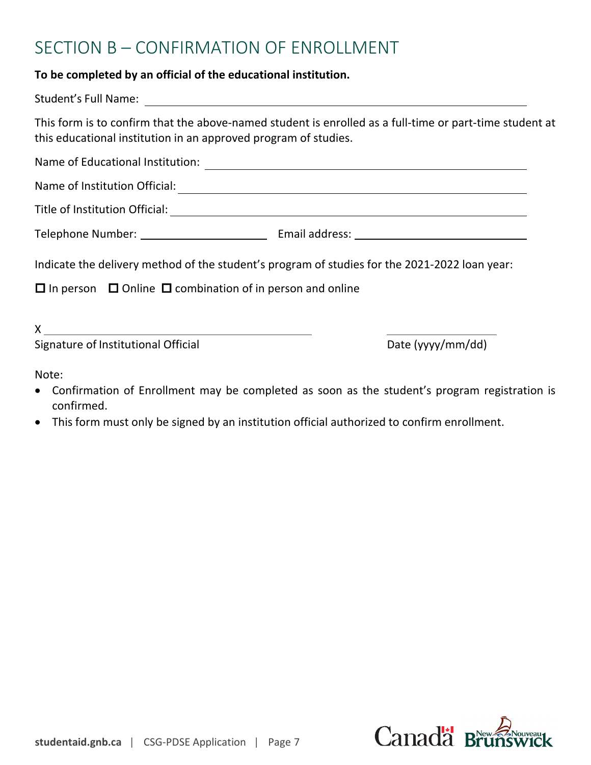## SECTION B – CONFIRMATION OF ENROLLMENT

#### **To be completed by an official of the educational institution.**

| This form is to confirm that the above-named student is enrolled as a full-time or part-time student at<br>this educational institution in an approved program of studies.                                                                                                                                                      |                   |
|---------------------------------------------------------------------------------------------------------------------------------------------------------------------------------------------------------------------------------------------------------------------------------------------------------------------------------|-------------------|
|                                                                                                                                                                                                                                                                                                                                 |                   |
|                                                                                                                                                                                                                                                                                                                                 |                   |
|                                                                                                                                                                                                                                                                                                                                 |                   |
|                                                                                                                                                                                                                                                                                                                                 |                   |
| Indicate the delivery method of the student's program of studies for the 2021-2022 loan year:                                                                                                                                                                                                                                   |                   |
| $\Box$ In person $\Box$ Online $\Box$ combination of in person and online                                                                                                                                                                                                                                                       |                   |
| $\mathsf X$ and $\mathsf X$ and $\mathsf X$ are $\mathsf X$ and $\mathsf X$ are $\mathsf X$ and $\mathsf X$ are $\mathsf X$ and $\mathsf X$ are $\mathsf X$ and $\mathsf X$ are $\mathsf X$ and $\mathsf X$ are $\mathsf X$ and $\mathsf X$ are $\mathsf X$ and $\mathsf X$ are $\mathsf X$ and $\mathsf X$ are $\mathsf X$ and |                   |
| Signature of Institutional Official                                                                                                                                                                                                                                                                                             | Date (yyyy/mm/dd) |

Note:

- Confirmation of Enrollment may be completed as soon as the student's program registration is confirmed.
- This form must only be signed by an institution official authorized to confirm enrollment.

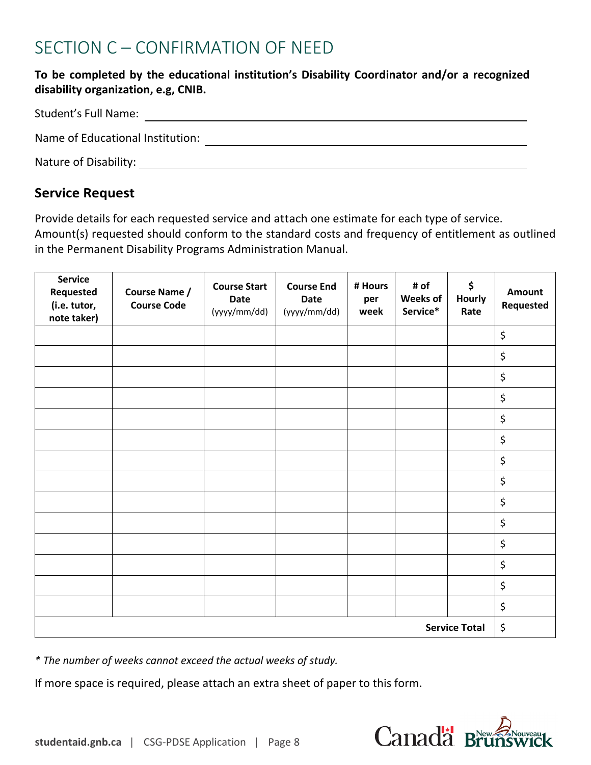## SECTION C – CONFIRMATION OF NEED

#### **To be completed by the educational institution's Disability Coordinator and/or a recognized disability organization, e.g, CNIB.**

| Student's Full Name:             |  |
|----------------------------------|--|
| Name of Educational Institution: |  |
| Nature of Disability:            |  |

#### **Service Request**

Provide details for each requested service and attach one estimate for each type of service.

Amount(s) requested should conform to the standard costs and frequency of entitlement as outlined in the Permanent Disability Programs Administration Manual.

| Service<br>Requested<br>(i.e. tutor,<br>note taker) | Course Name /<br><b>Course Code</b> | <b>Course Start</b><br><b>Date</b><br>(yyyy/mm/dd) | <b>Course End</b><br><b>Date</b><br>(yyyy/mm/dd) | # Hours<br>per<br>week | # of<br>Weeks of<br>Service* | \$<br>Hourly<br>Rate | <b>Amount</b><br>Requested |
|-----------------------------------------------------|-------------------------------------|----------------------------------------------------|--------------------------------------------------|------------------------|------------------------------|----------------------|----------------------------|
|                                                     |                                     |                                                    |                                                  |                        |                              |                      | \$                         |
|                                                     |                                     |                                                    |                                                  |                        |                              |                      | \$                         |
|                                                     |                                     |                                                    |                                                  |                        |                              |                      | \$                         |
|                                                     |                                     |                                                    |                                                  |                        |                              |                      | \$                         |
|                                                     |                                     |                                                    |                                                  |                        |                              |                      | \$                         |
|                                                     |                                     |                                                    |                                                  |                        |                              |                      | \$                         |
|                                                     |                                     |                                                    |                                                  |                        |                              |                      | \$                         |
|                                                     |                                     |                                                    |                                                  |                        |                              |                      | \$                         |
|                                                     |                                     |                                                    |                                                  |                        |                              |                      | \$                         |
|                                                     |                                     |                                                    |                                                  |                        |                              |                      | \$                         |
|                                                     |                                     |                                                    |                                                  |                        |                              |                      | \$                         |
|                                                     |                                     |                                                    |                                                  |                        |                              |                      | \$                         |
|                                                     |                                     |                                                    |                                                  |                        |                              |                      | \$                         |
|                                                     |                                     |                                                    |                                                  |                        |                              |                      | \$                         |
| <b>Service Total</b>                                |                                     |                                                    |                                                  | \$                     |                              |                      |                            |

*\* The number of weeks cannot exceed the actual weeks of study.*

If more space is required, please attach an extra sheet of paper to this form.

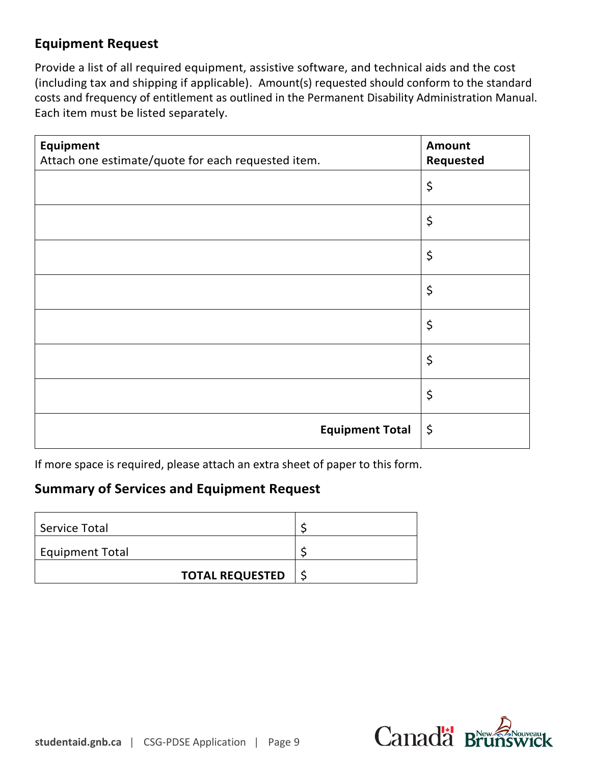## **Equipment Request**

Provide a list of all required equipment, assistive software, and technical aids and the cost (including tax and shipping if applicable). Amount(s) requested should conform to the standard costs and frequency of entitlement as outlined in the Permanent Disability Administration Manual. Each item must be listed separately.

| <b>Equipment</b><br>Attach one estimate/quote for each requested item. | <b>Amount</b><br>Requested |
|------------------------------------------------------------------------|----------------------------|
|                                                                        | \$                         |
|                                                                        | \$                         |
|                                                                        | \$                         |
|                                                                        | \$                         |
|                                                                        | \$                         |
|                                                                        | \$                         |
|                                                                        | \$                         |
| <b>Equipment Total</b>                                                 | \$                         |

If more space is required, please attach an extra sheet of paper to this form.

### **Summary of Services and Equipment Request**

| Service Total          |                        |  |
|------------------------|------------------------|--|
| <b>Equipment Total</b> |                        |  |
|                        | <b>TOTAL REQUESTED</b> |  |